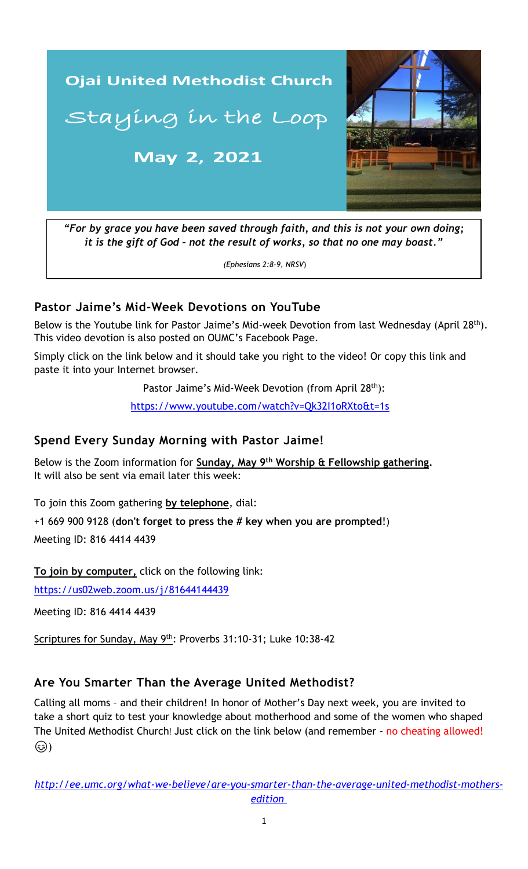

*"For by grace you have been saved through faith, and this is not your own doing; it is the gift of God – not the result of works, so that no one may boast."*

*(Ephesians 2:8-9, NRSV*)

#### **Pastor Jaime's Mid-Week Devotions on YouTube**

Below is the Youtube link for Pastor Jaime's Mid-week Devotion from last Wednesday (April 28<sup>th</sup>). This video devotion is also posted on OUMC's Facebook Page.

Simply click on the link below and it should take you right to the video! Or copy this link and paste it into your Internet browser.

Pastor Jaime's Mid-Week Devotion (from April 28<sup>th</sup>):

<https://www.youtube.com/watch?v=Qk32I1oRXto&t=1s>

#### **Spend Every Sunday Morning with Pastor Jaime!**

Below is the Zoom information for **Sunday, May 9<sup>th</sup> Worship & Fellowship gathering.** It will also be sent via email later this week:

To join this Zoom gathering **by telephone**, dial:

+1 669 900 9128 (**don't forget to press the # key when you are prompted**!)

Meeting ID: 816 4414 4439

**To join by computer,** click on the following link:

<https://us02web.zoom.us/j/81644144439>

Meeting ID: 816 4414 4439

Scriptures for Sunday, May 9<sup>th</sup>: Proverbs 31:10-31; Luke 10:38-42

## **Are You Smarter Than the Average United Methodist?**

Calling all moms – and their children! In honor of Mother's Day next week, you are invited to take a short quiz to test your knowledge about motherhood and some of the women who shaped The United Methodist Church! Just click on the link below (and remember - no cheating allowed! (۱۵۰)

*[http://ee.umc.org/what-we-believe/are-you-smarter-than-the-average-united-methodist-mothers](http://ee.umc.org/what-we-believe/are-you-smarter-than-the-average-united-methodist-mothers-edition )[edition](http://ee.umc.org/what-we-believe/are-you-smarter-than-the-average-united-methodist-mothers-edition )*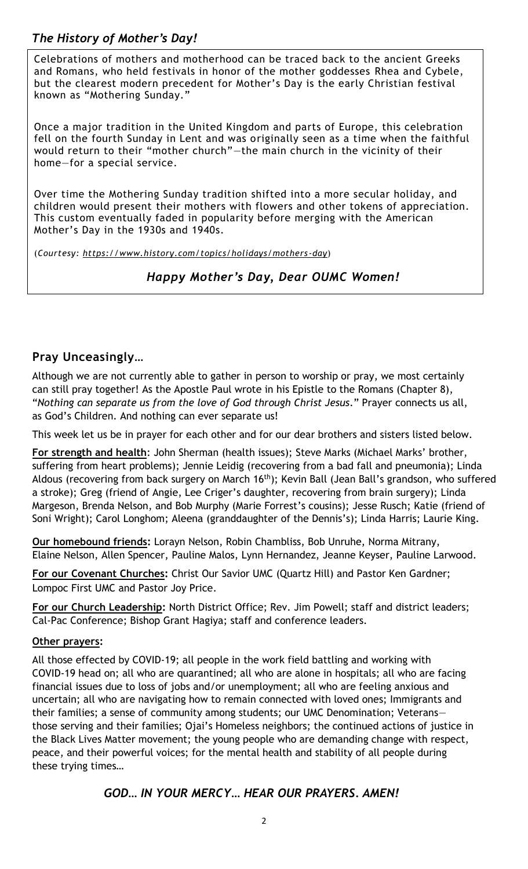# *The History of Mother's Day!*

Celebrations of mothers and motherhood can be traced back to the ancient Greeks and Romans, who held festivals in honor of the mother goddesses Rhea and Cybele, but the clearest modern precedent for Mother's Day is the early Christian festival known as "Mothering Sunday."

Once a major tradition in the United Kingdom and parts of Europe, this celebration fell on the fourth Sunday in Lent and was originally seen as a time when the faithful would return to their "mother church"—the main church in the vicinity of their home—for a special service.

Over time the Mothering Sunday tradition shifted into a more secular holiday, and children would present their mothers with flowers and other tokens of appreciation. This custom eventually faded in popularity before merging with the American Mother's Day in the 1930s and 1940s.

(*Courtesy: https://www.history.com/topics/holidays/mothers -day*)

*Happy Mother's Day, Dear OUMC Women!*

## **Pray Unceasingly…**

Although we are not currently able to gather in person to worship or pray, we most certainly can still pray together! As the Apostle Paul wrote in his Epistle to the Romans (Chapter 8), "*Nothing can separate us from the love of God through Christ Jesus*." Prayer connects us all, as God's Children. And nothing can ever separate us!

This week let us be in prayer for each other and for our dear brothers and sisters listed below.

**For strength and health**: John Sherman (health issues); Steve Marks (Michael Marks' brother, suffering from heart problems); Jennie Leidig (recovering from a bad fall and pneumonia); Linda Aldous (recovering from back surgery on March 16<sup>th</sup>); Kevin Ball (Jean Ball's grandson, who suffered a stroke); Greg (friend of Angie, Lee Criger's daughter, recovering from brain surgery); Linda Margeson, Brenda Nelson, and Bob Murphy (Marie Forrest's cousins); Jesse Rusch; Katie (friend of Soni Wright); Carol Longhom; Aleena (granddaughter of the Dennis's); Linda Harris; Laurie King.

**Our homebound friends:** Lorayn Nelson, Robin Chambliss, Bob Unruhe, Norma Mitrany, Elaine Nelson, Allen Spencer, Pauline Malos, Lynn Hernandez, Jeanne Keyser, Pauline Larwood.

**For our Covenant Churches:** Christ Our Savior UMC (Quartz Hill) and Pastor Ken Gardner; Lompoc First UMC and Pastor Joy Price.

**For our Church Leadership:** North District Office; Rev. Jim Powell; staff and district leaders; Cal-Pac Conference; Bishop Grant Hagiya; staff and conference leaders.

#### **Other prayers:**

financial issues due to loss of jobs and/or unemployment; all who are feeling anxious and All those effected by COVID-19; all people in the work field battling and working with COVID-19 head on; all who are quarantined; all who are alone in hospitals; all who are facing uncertain; all who are navigating how to remain connected with loved ones; Immigrants and their families; a sense of community among students; our UMC Denomination; Veterans those serving and their families; Ojai's Homeless neighbors; the continued actions of justice in the Black Lives Matter movement; the young people who are demanding change with respect, peace, and their powerful voices; for the mental health and stability of all people during these trying times…

## *GOD… IN YOUR MERCY… HEAR OUR PRAYERS. AMEN!*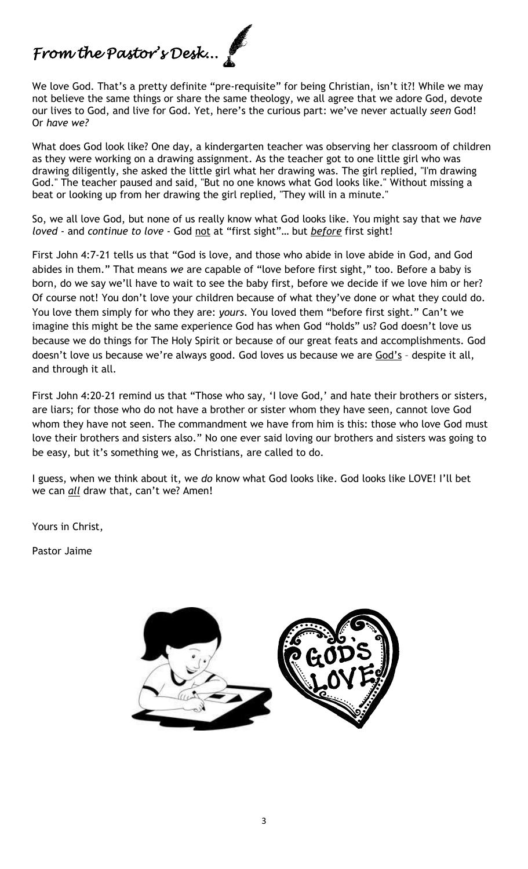# *From the Pastor's Desk...*

We love God. That's a pretty definite "pre-requisite" for being Christian, isn't it?! While we may not believe the same things or share the same theology, we all agree that we adore God, devote our lives to God, and live for God. Yet, here's the curious part: we've never actually *seen* God! Or *have we?*

What does God look like? One day, a kindergarten teacher was observing her classroom of children as they were working on a drawing assignment. As the teacher got to one little girl who was drawing diligently, she asked the little girl what her drawing was. The girl replied, "I'm drawing God." The teacher paused and said, "But no one knows what God looks like." Without missing a beat or looking up from her drawing the girl replied, "They will in a minute."

So, we all love God, but none of us really know what God looks like. You might say that we *have loved* - and *continue to love* - God not at "first sight"… but *before* first sight!

First John 4:7-21 tells us that "God is love, and those who abide in love abide in God, and God abides in them." That means *we* are capable of "love before first sight," too. Before a baby is born, do we say we'll have to wait to see the baby first, before we decide if we love him or her? Of course not! You don't love your children because of what they've done or what they could do. You love them simply for who they are: *yours*. You loved them "before first sight." Can't we imagine this might be the same experience God has when God "holds" us? God doesn't love us because we do things for The Holy Spirit or because of our great feats and accomplishments. God doesn't love us because we're always good. God loves us because we are God's - despite it all, and through it all.

First John 4:20-21 remind us that "Those who say, 'I love God,' and hate their brothers or sisters, are liars; for those who do not have a brother or sister whom they have seen, cannot love God whom they have not seen. The commandment we have from him is this: those who love God must love their brothers and sisters also." No one ever said loving our brothers and sisters was going to be easy, but it's something we, as Christians, are called to do.

I guess, when we think about it, we *do* know what God looks like. God looks like LOVE! I'll bet we can *all* draw that, can't we? Amen!

Yours in Christ,

Pastor Jaime